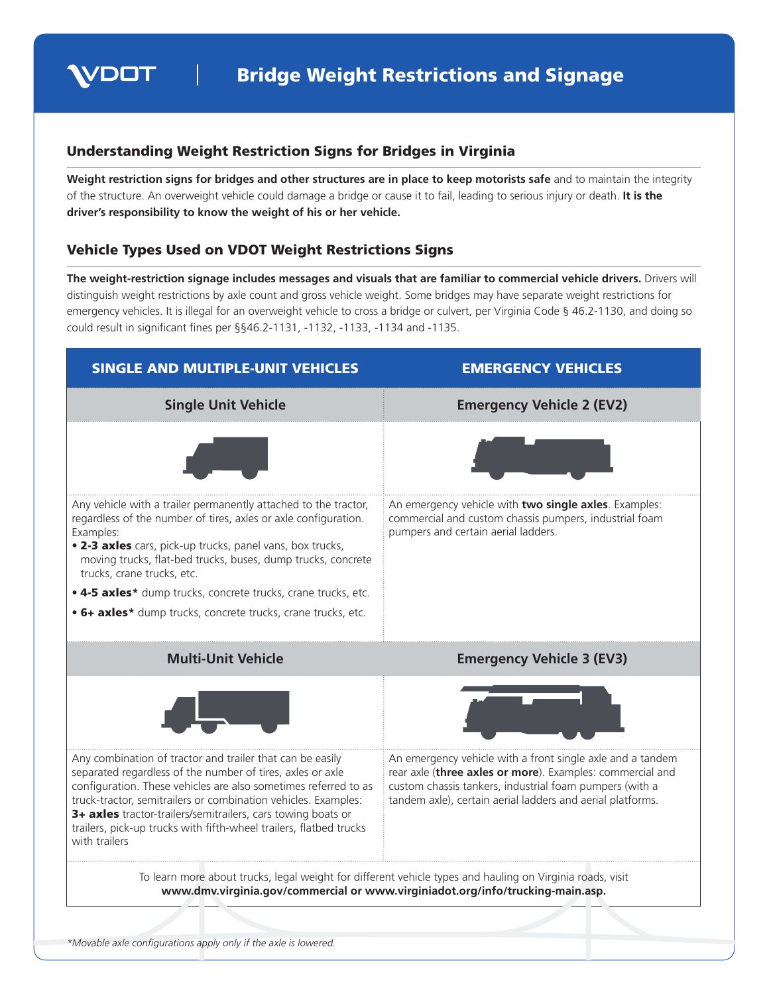

## Understanding Weight Restriction Signs for Bridges in Virginia

**Weight restriction signs for bridges and other structures are in place to keep motorists safe** and to maintain the integrity of the structure. An overweight vehicle could damage a bridge or cause it to fail, leading to serious injury or death. **It is the driver's responsibility to know the weight of his or her vehicle.** 

## Vehicle Types Used on VDOT Weight Restrictions Signs

**The weight-restriction signage includes messages and visuals that are familiar to commercial vehicle drivers.** Drivers will distinguish weight restrictions by axle count and gross vehicle weight. Some bridges may have separate weight restrictions for emergency vehicles. It is illegal for an overweight vehicle to cross a bridge or culvert, per Virginia Code § 46.2-1130, and doing so could result in signifcant fnes per §§46.2-1131, -1132, -1133, -1134 and -1135.